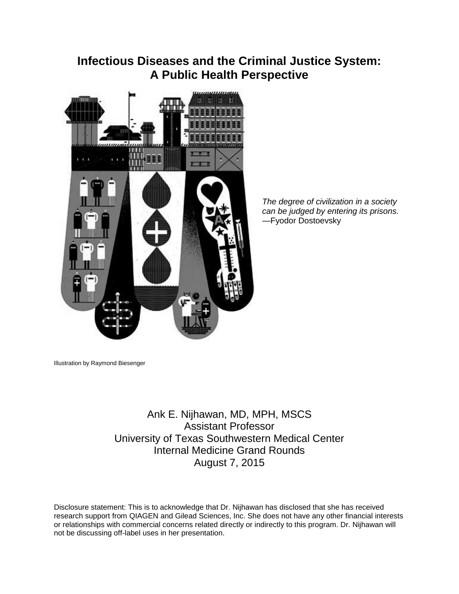# **Infectious Diseases and the Criminal Justice System: A Public Health Perspective**



*The degree of civilization in a society can be judged by entering its prisons.* —Fyodor Dostoevsky

Illustration by Raymond Biesenger

Ank E. Nijhawan, MD, MPH, MSCS Assistant Professor University of Texas Southwestern Medical Center Internal Medicine Grand Rounds August 7, 2015

Disclosure statement: This is to acknowledge that Dr. Nijhawan has disclosed that she has received research support from QIAGEN and Gilead Sciences, Inc. She does not have any other financial interests or relationships with commercial concerns related directly or indirectly to this program. Dr. Nijhawan will not be discussing off-label uses in her presentation.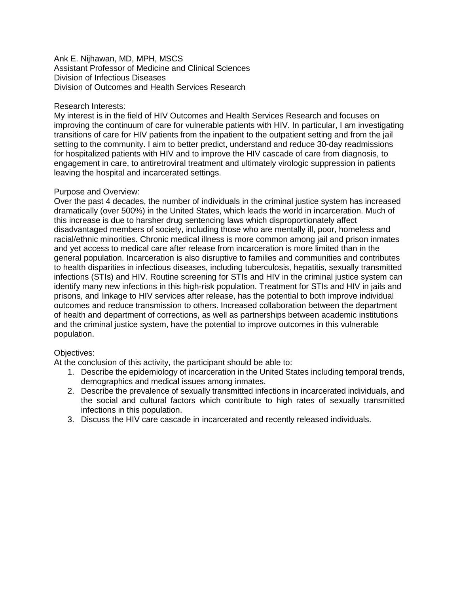#### Ank E. Nijhawan, MD, MPH, MSCS Assistant Professor of Medicine and Clinical Sciences Division of Infectious Diseases Division of Outcomes and Health Services Research

#### Research Interests:

My interest is in the field of HIV Outcomes and Health Services Research and focuses on improving the continuum of care for vulnerable patients with HIV. In particular, I am investigating transitions of care for HIV patients from the inpatient to the outpatient setting and from the jail setting to the community. I aim to better predict, understand and reduce 30-day readmissions for hospitalized patients with HIV and to improve the HIV cascade of care from diagnosis, to engagement in care, to antiretroviral treatment and ultimately virologic suppression in patients leaving the hospital and incarcerated settings.

#### Purpose and Overview:

Over the past 4 decades, the number of individuals in the criminal justice system has increased dramatically (over 500%) in the United States, which leads the world in incarceration. Much of this increase is due to harsher drug sentencing laws which disproportionately affect disadvantaged members of society, including those who are mentally ill, poor, homeless and racial/ethnic minorities. Chronic medical illness is more common among jail and prison inmates and yet access to medical care after release from incarceration is more limited than in the general population. Incarceration is also disruptive to families and communities and contributes to health disparities in infectious diseases, including tuberculosis, hepatitis, sexually transmitted infections (STIs) and HIV. Routine screening for STIs and HIV in the criminal justice system can identify many new infections in this high-risk population. Treatment for STIs and HIV in jails and prisons, and linkage to HIV services after release, has the potential to both improve individual outcomes and reduce transmission to others. Increased collaboration between the department of health and department of corrections, as well as partnerships between academic institutions and the criminal justice system, have the potential to improve outcomes in this vulnerable population.

## Objectives:

At the conclusion of this activity, the participant should be able to:

- 1. Describe the epidemiology of incarceration in the United States including temporal trends, demographics and medical issues among inmates.
- 2. Describe the prevalence of sexually transmitted infections in incarcerated individuals, and the social and cultural factors which contribute to high rates of sexually transmitted infections in this population.
- 3. Discuss the HIV care cascade in incarcerated and recently released individuals.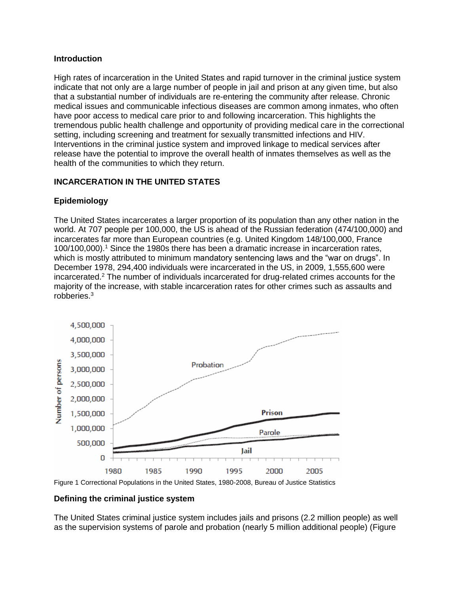## **Introduction**

High rates of incarceration in the United States and rapid turnover in the criminal justice system indicate that not only are a large number of people in jail and prison at any given time, but also that a substantial number of individuals are re-entering the community after release. Chronic medical issues and communicable infectious diseases are common among inmates, who often have poor access to medical care prior to and following incarceration. This highlights the tremendous public health challenge and opportunity of providing medical care in the correctional setting, including screening and treatment for sexually transmitted infections and HIV. Interventions in the criminal justice system and improved linkage to medical services after release have the potential to improve the overall health of inmates themselves as well as the health of the communities to which they return.

# **INCARCERATION IN THE UNITED STATES**

# **Epidemiology**

The United States incarcerates a larger proportion of its population than any other nation in the world. At 707 people per 100,000, the US is ahead of the Russian federation (474/100,000) and incarcerates far more than European countries (e.g. United Kingdom 148/100,000, France 100/100,000). [1](#page-13-0) Since the 1980s there has been a dramatic increase in incarceration rates, which is mostly attributed to minimum mandatory sentencing laws and the "war on drugs". In December 1978, 294,400 individuals were incarcerated in the US, in 2009, 1,555,600 were incarcerated[.](#page-13-1)<sup>2</sup> The number of individuals incarcerated for drug-related crimes accounts for the majority of the increase, with stable incarceration rates for other crimes such as assaults and robberies. [3](#page-13-2)



Figure 1 Correctional Populations in the United States, 1980-2008, Bureau of Justice Statistics

# **Defining the criminal justice system**

The United States criminal justice system includes jails and prisons (2.2 million people) as well as the supervision systems of parole and probation (nearly 5 million additional people) (Figure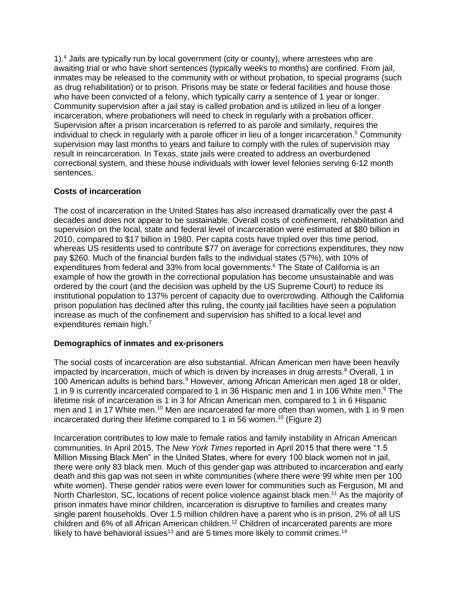1).[4](#page-13-3) Jails are typically run by local government (city or county), where arrestees who are awaiting trial or who have short sentences (typically weeks to months) are confined. From jail, inmates may be released to the community with or without probation, to special programs (such as drug rehabilitation) or to prison. Prisons may be state or federal facilities and house those who have been convicted of a felony, which typically carry a sentence of 1 year or longer. Community supervision after a jail stay is called probation and is utilized in lieu of a longer incarceration, where probationers will need to check in regularly with a probation officer. Supervision after a prison incarceration is referred to as parole and similarly, requires the individual to check in regularly with a parole officer in lieu of a longer incarceration. [5](#page-13-4) Community supervision may last months to years and failure to comply with the rules of supervision may result in reincarceration. In Texas, state jails were created to address an overburdened correctional system, and these house individuals with lower level felonies serving 6-12 month sentences.

## **Costs of incarceration**

The cost of incarceration in the United States has also increased dramatically over the past 4 decades and does not appear to be sustainable. Overall costs of confinement, rehabilitation and supervision on the local, state and federal level of incarceration were estimated at \$80 billion in 2010, compared to \$17 billion in 1980. Per capita costs have tripled over this time period, whereas US residents used to contribute \$77 on average for corrections expenditures, they now pay \$260. Much of the financial burden falls to the individual states (57%), with 10% of expenditures from federal and 33% from local governments[.](#page-13-5)<sup>6</sup> The State of California is an example of how the growth in the correctional population has become unsustainable and was ordered by the court (and the decision was upheld by the US Supreme Court) to reduce its institutional population to 137% percent of capacity due to overcrowding. Although the California prison population has declined after this ruling, the county jail facilities have seen a population increase as much of the confinement and supervision has shifted to a local level and expenditures remain high[.](#page-13-6)<sup>7</sup>

## **Demographics of inmates and ex-prisoners**

The social costs of incarceration are also substantial. African American men have been heavily impacted by incarceration, much of which is driven by increases in drug arrests.<sup>[8](#page-13-7)</sup> Overall, 1 in 100 American adults is behind bars.<sup>[9](#page-13-8)</sup> However, among African American men aged 18 or older, 1 in [9](#page-13-8) is currently incarcerated compared to 1 in 36 Hispanic men and 1 in 106 White men.<sup>9</sup> The lifetime risk of incarceration is 1 in 3 for African American men, compared to 1 in 6 Hispanic men and 1 in 17 White men.<sup>[10](#page-13-9)</sup> Men are incarcerated far more often than women, with 1 in 9 men incarcerated during their lifetime compared to 1 in 56 women.<sup>[10](#page-13-9)</sup> (Figure 2)

Incarceration contributes to low male to female ratios and family instability in African American communities. In April 2015, The *New York Times* reported in April 2015 that there were "1.5 Million Missing Black Men" in the United States, where for every 100 black women not in jail, there were only 83 black men. Much of this gender gap was attributed to incarceration and early death and this gap was not seen in white communities (where there were 99 white men per 100 white women). These gender ratios were even lower for communities such as Ferguson, MI and North Charleston, SC, locations of recent police violence against black men.<sup>[11](#page-13-10)</sup> As the majority of prison inmates have minor children, incarceration is disruptive to families and creates many single parent households. Over 1.5 million children have a parent who is in prison, 2% of all US children and 6% of all African American children.<sup>[12](#page-13-11)</sup> Children of incarcerated parents are more likely to have behavioral issues<sup>[13](#page-13-12)</sup> and are 5 times more likely to commit crimes.<sup>[14](#page-13-13)</sup>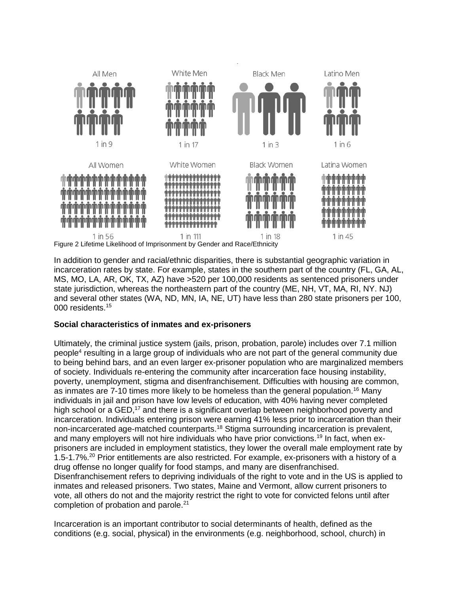

In addition to gender and racial/ethnic disparities, there is substantial geographic variation in incarceration rates by state. For example, states in the southern part of the country (FL, GA, AL, MS, MO, LA, AR, OK, TX, AZ) have >520 per 100,000 residents as sentenced prisoners under state jurisdiction, whereas the northeastern part of the country (ME, NH, VT, MA, RI, NY. NJ) and several other states (WA, ND, MN, IA, NE, UT) have less than 280 state prisoners per 100, 000 residents.[15](#page-13-14)

## **Social characteristics of inmates and ex-prisoners**

Ultimately, the criminal justice system (jails, prison, probation, parole) includes over 7.1 million people<sup>[4](#page-13-3)</sup> resulting in a large group of individuals who are not part of the general community due to being behind bars, and an even larger ex-prisoner population who are marginalized members of society. Individuals re-entering the community after incarceration face housing instability, poverty, unemployment, stigma and disenfranchisement. Difficulties with housing are common, as inmates are 7-10 times more likely to be homeless than the general population.<sup>[16](#page-13-15)</sup> Many individuals in jail and prison have low levels of education, with 40% having never completed high school or a GED,<sup>[17](#page-13-16)</sup> and there is a significant overlap between neighborhood poverty and incarceration. Individuals entering prison were earning 41% less prior to incarceration than their non-incarcerated age-matched counterparts.[18](#page-13-17) Stigma surrounding incarceration is prevalent, and many employers will not hire individuals who have prior convictions.<sup>[19](#page-13-18)</sup> In fact, when exprisoners are included in employment statistics, they lower the overall male employment rate by 1.5-1.7%.<sup>[20](#page-13-19)</sup> Prior entitlements are also restricted. For example, ex-prisoners with a history of a drug offense no longer qualify for food stamps, and many are disenfranchised. Disenfranchisement refers to depriving individuals of the right to vote and in the US is applied to inmates and released prisoners. Two states, Maine and Vermont, allow current prisoners to vote, all others do not and the majority restrict the right to vote for convicted felons until after completion of probation and parole. [21](#page-14-0)

Incarceration is an important contributor to social determinants of health, defined as the conditions (e.g. social, physical) in the environments (e.g. neighborhood, school, church) in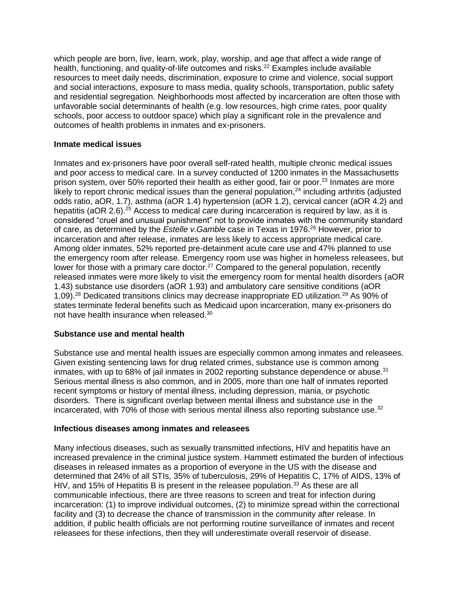which people are born, live, learn, work, play, worship, and age that affect a wide range of health, functioning, and quality-of-life outcomes and risks.<sup>[22](#page-14-1)</sup> Examples include available resources to meet daily needs, discrimination, exposure to crime and violence, social support and social interactions, exposure to mass media, quality schools, transportation, public safety and residential segregation. Neighborhoods most affected by incarceration are often those with unfavorable social determinants of health (e.g. low resources, high crime rates, poor quality schools, poor access to outdoor space) which play a significant role in the prevalence and outcomes of health problems in inmates and ex-prisoners.

## **Inmate medical issues**

Inmates and ex-prisoners have poor overall self-rated health, multiple chronic medical issues and poor access to medical care. In a survey conducted of 1200 inmates in the Massachusetts prison system, over 50% reported their health as either good, fair or poor.<sup>[23](#page-14-2)</sup> Inmates are more likely to report chronic medical issues than the general population,<sup>[24](#page-14-3)</sup> including arthritis (adjusted odds ratio, aOR, 1.7), asthma (aOR 1.4) hypertension (aOR 1.2), cervical cancer (aOR 4.2) and hepatitis (aOR 2.6).<sup>[25](#page-14-4)</sup> Access to medical care during incarceration is required by law, as it is considered "cruel and unusual punishment" not to provide inmates with the community standard of care, as determined by the *Estelle v.Gamble* case in Texas in 1976. [26](#page-14-5) However, prior to incarceration and after release, inmates are less likely to access appropriate medical care. Among older inmates, 52% reported pre-detainment acute care use and 47% planned to use the emergency room after release. Emergency room use was higher in homeless releasees, but lower for those with a primary care doctor.<sup>[27](#page-14-6)</sup> Compared to the general population, recently released inmates were more likely to visit the emergency room for mental health disorders (aOR 1.43) substance use disorders (aOR 1.93) and ambulatory care sensitive conditions (aOR 1.09).<sup>[28](#page-14-7)</sup> Dedicated transitions clinics may decrease inappropriate ED utilization.<sup>[29](#page-14-8)</sup> As 90% of states terminate federal benefits such as Medicaid upon incarceration, many ex-prisoners do not have health insurance when released.<sup>[30](#page-14-9)</sup>

## **Substance use and mental health**

Substance use and mental health issues are especially common among inmates and releasees. Given existing sentencing laws for drug related crimes, substance use is common among inmates, with up to 68% of jail inmates in 2002 reporting substance dependence or abuse.<sup>[31](#page-14-10)</sup> Serious mental illness is also common, and in 2005, more than one half of inmates reported recent symptoms or history of mental illness, including depression, mania, or psychotic disorders. There is significant overlap between mental illness and substance use in the incarcerated, with 70% of those with serious mental illness also reporting substance use.<sup>[32](#page-14-11)</sup>

# **Infectious diseases among inmates and releasees**

Many infectious diseases, such as sexually transmitted infections, HIV and hepatitis have an increased prevalence in the criminal justice system. Hammett estimated the burden of infectious diseases in released inmates as a proportion of everyone in the US with the disease and determined that 24% of all STIs, 35% of tuberculosis, 29% of Hepatitis C, 17% of AIDS, 13% of HIV, and 15% of Hepatitis B is present in the releasee population.<sup>[33](#page-14-12)</sup> As these are all communicable infectious, there are three reasons to screen and treat for infection during incarceration: (1) to improve individual outcomes, (2) to minimize spread within the correctional facility and (3) to decrease the chance of transmission in the community after release. In addition, if public health officials are not performing routine surveillance of inmates and recent releasees for these infections, then they will underestimate overall reservoir of disease.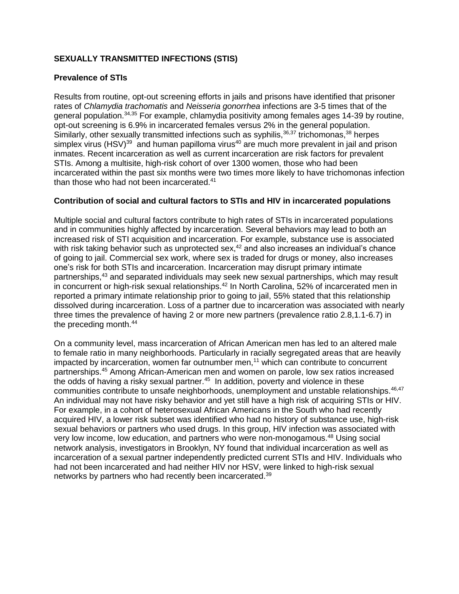# **SEXUALLY TRANSMITTED INFECTIONS (STIS)**

## **Prevalence of STIs**

Results from routine, opt-out screening efforts in jails and prisons have identified that prisoner rates of *Chlamydia trachomatis* and *Neisseria gonorrhea* infections are 3-5 times that of the general population.<sup>[34,](#page-14-13)[35](#page-14-14)</sup> For example, chlamydia positivity among females ages 14-39 by routine, opt-out screening is 6.9% in incarcerated females versus 2% in the general population. Similarly, other sexually transmitted infections such as syphilis,<sup>[36,](#page-14-15)[37](#page-14-16)</sup> trichomonas,<sup>[38](#page-14-17)</sup> herpes simplex virus (HSV) $^{39}$  $^{39}$  $^{39}$  and human papilloma virus<sup>[40](#page-14-19)</sup> are much more prevalent in jail and prison inmates. Recent incarceration as well as current incarceration are risk factors for prevalent STIs. Among a multisite, high-risk cohort of over 1300 women, those who had been incarcerated within the past six months were two times more likely to have trichomonas infection than those who had not been incarcerated.<sup>[41](#page-15-0)</sup>

## **Contribution of social and cultural factors to STIs and HIV in incarcerated populations**

Multiple social and cultural factors contribute to high rates of STIs in incarcerated populations and in communities highly affected by incarceration. Several behaviors may lead to both an increased risk of STI acquisition and incarceration. For example, substance use is associated with risk taking behavior such as unprotected sex, $42$  and also increases an individual's chance of going to jail. Commercial sex work, where sex is traded for drugs or money, also increases one's risk for both STIs and incarceration. Incarceration may disrupt primary intimate partnerships,[43](#page-15-2) and separated individuals may seek new sexual partnerships, which may result in concurrent or high-risk sexual relationships.<sup>[42](#page-15-1)</sup> In North Carolina, 52% of incarcerated men in reported a primary intimate relationship prior to going to jail, 55% stated that this relationship dissolved during incarceration. Loss of a partner due to incarceration was associated with nearly three times the prevalence of having 2 or more new partners (prevalence ratio 2.8,1.1-6.7) in the preceding month.<sup>[44](#page-15-3)</sup>

On a community level, mass incarceration of African American men has led to an altered male to female ratio in many neighborhoods. Particularly in racially segregated areas that are heavily impacted by incarceration, women far outnumber men,<sup>[11](#page-13-10)</sup> which can contribute to concurrent partnerships.[45](#page-15-4) Among African-American men and women on parole, low sex ratios increased the odds of having a risky sexual partner.<sup>[45](#page-15-4)</sup> In addition, poverty and violence in these communities contribute to unsafe neighborhoods, unemployment and unstable relationships.<sup>[46](#page-15-5)[,47](#page-15-6)</sup> An individual may not have risky behavior and yet still have a high risk of acquiring STIs or HIV. For example, in a cohort of heterosexual African Americans in the South who had recently acquired HIV, a lower risk subset was identified who had no history of substance use, high-risk sexual behaviors or partners who used drugs. In this group, HIV infection was associated with very low income, low education, and partners who were non-monogamous.<sup>[48](#page-15-7)</sup> Using social network analysis, investigators in Brooklyn, NY found that individual incarceration as well as incarceration of a sexual partner independently predicted current STIs and HIV. Individuals who had not been incarcerated and had neither HIV nor HSV, were linked to high-risk sexual networks by partners who had recently been incarcerated.[39](#page-14-18)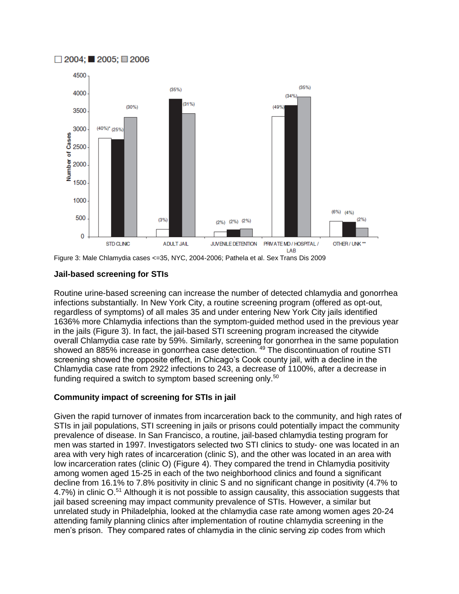

Figure 3: Male Chlamydia cases <=35, NYC, 2004-2006; Pathela et al. Sex Trans Dis 2009

## **Jail-based screening for STIs**

 $\Box$  2004; 2005; 2006

Routine urine-based screening can increase the number of detected chlamydia and gonorrhea infections substantially. In New York City, a routine screening program (offered as opt-out, regardless of symptoms) of all males 35 and under entering New York City jails identified 1636% more Chlamydia infections than the symptom-guided method used in the previous year in the jails (Figure 3). In fact, the jail-based STI screening program increased the citywide overall Chlamydia case rate by 59%. Similarly, screening for gonorrhea in the same population showed an 885% increase in gonorrhea case detection.<sup>[49](#page-15-8)</sup> The discontinuation of routine STI screening showed the opposite effect, in Chicago's Cook county jail, with a decline in the Chlamydia case rate from 2922 infections to 243, a decrease of 1100%, after a decrease in funding required a switch to symptom based screening only.<sup>[50](#page-15-9)</sup>

# **Community impact of screening for STIs in jail**

Given the rapid turnover of inmates from incarceration back to the community, and high rates of STIs in jail populations, STI screening in jails or prisons could potentially impact the community prevalence of disease. In San Francisco, a routine, jail-based chlamydia testing program for men was started in 1997. Investigators selected two STI clinics to study- one was located in an area with very high rates of incarceration (clinic S), and the other was located in an area with low incarceration rates (clinic O) (Figure 4). They compared the trend in Chlamydia positivity among women aged 15-25 in each of the two neighborhood clinics and found a significant decline from 16.1% to 7.8% positivity in clinic S and no significant change in positivity (4.7% to 4.7%) in clinic O.<sup>[51](#page-15-10)</sup> Although it is not possible to assign causality, this association suggests that jail based screening may impact community prevalence of STIs. However, a similar but unrelated study in Philadelphia, looked at the chlamydia case rate among women ages 20-24 attending family planning clinics after implementation of routine chlamydia screening in the men's prison. They compared rates of chlamydia in the clinic serving zip codes from which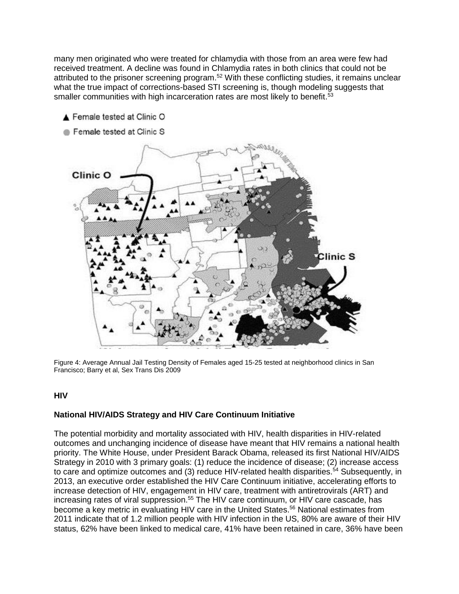many men originated who were treated for chlamydia with those from an area were few had received treatment. A decline was found in Chlamydia rates in both clinics that could not be attributed to the prisoner screening program.<sup>[52](#page-15-11)</sup> With these conflicting studies, it remains unclear what the true impact of corrections-based STI screening is, though modeling suggests that smaller communities with high incarceration rates are most likely to benefit.<sup>[53](#page-15-12)</sup>



Figure 4: Average Annual Jail Testing Density of Females aged 15-25 tested at neighborhood clinics in San Francisco; Barry et al, Sex Trans Dis 2009

#### **HIV**

#### **National HIV/AIDS Strategy and HIV Care Continuum Initiative**

The potential morbidity and mortality associated with HIV, health disparities in HIV-related outcomes and unchanging incidence of disease have meant that HIV remains a national health priority. The White House, under President Barack Obama, released its first National HIV/AIDS Strategy in 2010 with 3 primary goals: (1) reduce the incidence of disease; (2) increase access to care and optimize outcomes and (3) reduce HIV-related health disparities.<sup>[54](#page-15-13)</sup> Subsequently, in 2013, an executive order established the HIV Care Continuum initiative, accelerating efforts to increase detection of HIV, engagement in HIV care, treatment with antiretrovirals (ART) and increasing rates of viral suppression.<sup>[55](#page-15-14)</sup> The HIV care continuum, or HIV care cascade, has become a key metric in evaluating HIV care in the United States. [56](#page-15-15) National estimates from 2011 indicate that of 1.2 million people with HIV infection in the US, 80% are aware of their HIV status, 62% have been linked to medical care, 41% have been retained in care, 36% have been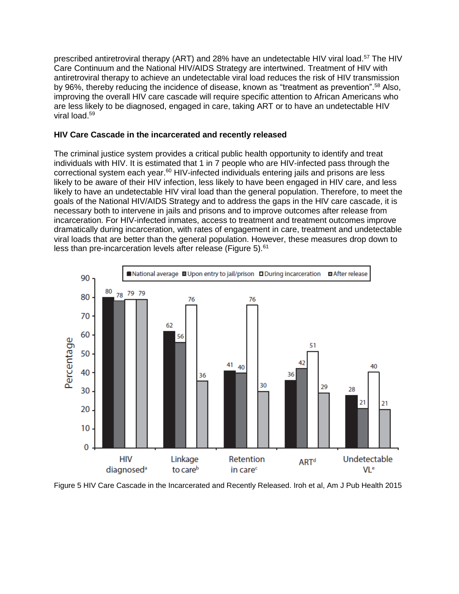prescribed antiretroviral therapy (ART) and 28% have an undetectable HIV viral load.<sup>[57](#page-15-16)</sup> The HIV Care Continuum and the National HIV/AIDS Strategy are intertwined. Treatment of HIV with antiretroviral therapy to achieve an undetectable viral load reduces the risk of HIV transmission by 96%, thereby reducing the incidence of disease, known as "treatment as prevention".<sup>[58](#page-15-17)</sup> Also, improving the overall HIV care cascade will require specific attention to African Americans who are less likely to be diagnosed, engaged in care, taking ART or to have an undetectable HIV viral load. [59](#page-15-18)

#### **HIV Care Cascade in the incarcerated and recently released**

The criminal justice system provides a critical public health opportunity to identify and treat individuals with HIV. It is estimated that 1 in 7 people who are HIV-infected pass through the correctional system each year.<sup>[60](#page-16-0)</sup> HIV-infected individuals entering jails and prisons are less likely to be aware of their HIV infection, less likely to have been engaged in HIV care, and less likely to have an undetectable HIV viral load than the general population. Therefore, to meet the goals of the National HIV/AIDS Strategy and to address the gaps in the HIV care cascade, it is necessary both to intervene in jails and prisons and to improve outcomes after release from incarceration. For HIV-infected inmates, access to treatment and treatment outcomes improve dramatically during incarceration, with rates of engagement in care, treatment and undetectable viral loads that are better than the general population. However, these measures drop down to less than pre-incarceration levels after release (Figure 5).<sup>[61](#page-16-1)</sup>



Figure 5 HIV Care Cascade in the Incarcerated and Recently Released. Iroh et al, Am J Pub Health 2015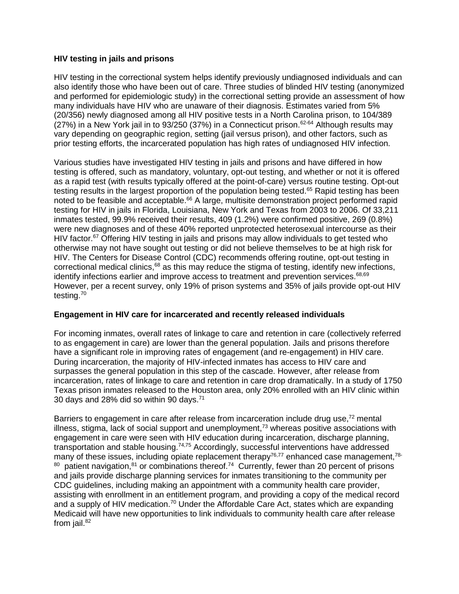## **HIV testing in jails and prisons**

HIV testing in the correctional system helps identify previously undiagnosed individuals and can also identify those who have been out of care. Three studies of blinded HIV testing (anonymized and performed for epidemiologic study) in the correctional setting provide an assessment of how many individuals have HIV who are unaware of their diagnosis. Estimates varied from 5% (20/356) newly diagnosed among all HIV positive tests in a North Carolina prison, to 104/389  $(27%)$  in a New York jail in to 93/250 (37%) in a Connecticut prison.<sup>[62-64](#page-16-2)</sup> Although results may vary depending on geographic region, setting (jail versus prison), and other factors, such as prior testing efforts, the incarcerated population has high rates of undiagnosed HIV infection.

Various studies have investigated HIV testing in jails and prisons and have differed in how testing is offered, such as mandatory, voluntary, opt-out testing, and whether or not it is offered as a rapid test (with results typically offered at the point-of-care) versus routine testing. Opt-out testing results in the largest proportion of the population being tested.<sup>[65](#page-16-3)</sup> Rapid testing has been noted to be feasible and acceptable.<sup>[66](#page-16-4)</sup> A large, multisite demonstration project performed rapid testing for HIV in jails in Florida, Louisiana, New York and Texas from 2003 to 2006. Of 33,211 inmates tested, 99.9% received their results, 409 (1.2%) were confirmed positive, 269 (0.8%) were new diagnoses and of these 40% reported unprotected heterosexual intercourse as their HIV factor.<sup>[67](#page-16-5)</sup> Offering HIV testing in jails and prisons may allow individuals to get tested who otherwise may not have sought out testing or did not believe themselves to be at high risk for HIV. The Centers for Disease Control (CDC) recommends offering routine, opt-out testing in correctional medical clinics,<sup>[68](#page-16-6)</sup> as this may reduce the stigma of testing, identify new infections, identify infections earlier and improve access to treatment and prevention services.<sup>[68,](#page-16-6)[69](#page-16-7)</sup> However, per a recent survey, only 19% of prison systems and 35% of jails provide opt-out HIV testing.[70](#page-16-8)

# **Engagement in HIV care for incarcerated and recently released individuals**

For incoming inmates, overall rates of linkage to care and retention in care (collectively referred to as engagement in care) are lower than the general population. Jails and prisons therefore have a significant role in improving rates of engagement (and re-engagement) in HIV care. During incarceration, the majority of HIV-infected inmates has access to HIV care and surpasses the general population in this step of the cascade. However, after release from incarceration, rates of linkage to care and retention in care drop dramatically. In a study of 1750 Texas prison inmates released to the Houston area, only 20% enrolled with an HIV clinic within 30 days and 28% did so within 90 days. $71$ 

Barriers to engagement in care after release from incarceration include drug use,<sup>[72](#page-16-10)</sup> mental illness, stigma, lack of social support and unemployment,<sup>[73](#page-16-11)</sup> whereas positive associations with engagement in care were seen with HIV education during incarceration, discharge planning, transportation and stable housing.<sup>[74,](#page-16-12)[75](#page-16-13)</sup> Accordingly, successful interventions have addressed many of these issues, including opiate replacement therapy<sup>[76,](#page-16-14)[77](#page-16-15)</sup> enhanced case management,<sup>[78-](#page-17-0)</sup>  $80$  patient navigation,  $81$  or combinations thereof.  $74$  Currently, fewer than 20 percent of prisons and jails provide discharge planning services for inmates transitioning to the community per CDC guidelines, including making an appointment with a community health care provider, assisting with enrollment in an entitlement program, and providing a copy of the medical record and a supply of HIV medication.<sup>[70](#page-16-8)</sup> Under the Affordable Care Act, states which are expanding Medicaid will have new opportunities to link individuals to community health care after release from jail. $82$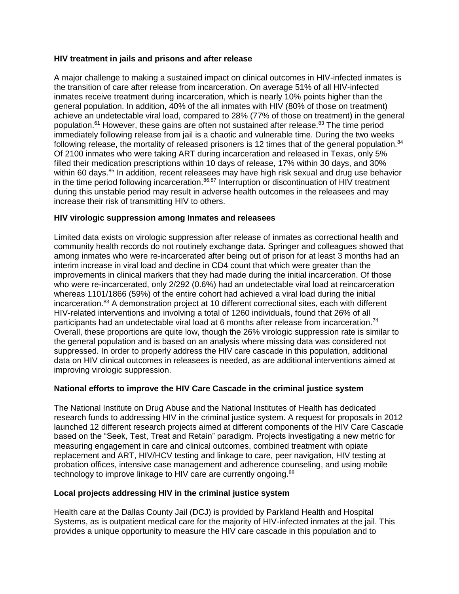## **HIV treatment in jails and prisons and after release**

A major challenge to making a sustained impact on clinical outcomes in HIV-infected inmates is the transition of care after release from incarceration. On average 51% of all HIV-infected inmates receive treatment during incarceration, which is nearly 10% points higher than the general population. In addition, 40% of the all inmates with HIV (80% of those on treatment) achieve an undetectable viral load, compared to 28% (77% of those on treatment) in the general population.<sup>[61](#page-16-1)</sup> However, these gains are often not sustained after release.<sup>[83](#page-17-3)</sup> The time period immediately following release from jail is a chaotic and vulnerable time. During the two weeks following release, the mortality of released prisoners is 12 times that of the general population.<sup>[84](#page-17-4)</sup> Of 2100 inmates who were taking ART during incarceration and released in Texas, only 5% filled their medication prescriptions within 10 days of release, 17% within 30 days, and 30% within 60 days.<sup>[85](#page-17-5)</sup> In addition, recent releasees may have high risk sexual and drug use behavior in the time period following incarceration. $86,87$  $86,87$  Interruption or discontinuation of HIV treatment during this unstable period may result in adverse health outcomes in the releasees and may increase their risk of transmitting HIV to others.

# **HIV virologic suppression among Inmates and releasees**

Limited data exists on virologic suppression after release of inmates as correctional health and community health records do not routinely exchange data. Springer and colleagues showed that among inmates who were re-incarcerated after being out of prison for at least 3 months had an interim increase in viral load and decline in CD4 count that which were greater than the improvements in clinical markers that they had made during the initial incarceration. Of those who were re-incarcerated, only 2/292 (0.6%) had an undetectable viral load at reincarceration whereas 1101/1866 (59%) of the entire cohort had achieved a viral load during the initial incarceration. [83](#page-17-3) A demonstration project at 10 different correctional sites, each with different HIV-related interventions and involving a total of 1260 individuals, found that 26% of all participants had an undetectable viral load at 6 months after release from incarceration.<sup>[74](#page-16-12)</sup> Overall, these proportions are quite low, though the 26% virologic suppression rate is similar to the general population and is based on an analysis where missing data was considered not suppressed. In order to properly address the HIV care cascade in this population, additional data on HIV clinical outcomes in releasees is needed, as are additional interventions aimed at improving virologic suppression.

## **National efforts to improve the HIV Care Cascade in the criminal justice system**

The National Institute on Drug Abuse and the National Institutes of Health has dedicated research funds to addressing HIV in the criminal justice system. A request for proposals in 2012 launched 12 different research projects aimed at different components of the HIV Care Cascade based on the "Seek, Test, Treat and Retain" paradigm. Projects investigating a new metric for measuring engagement in care and clinical outcomes, combined treatment with opiate replacement and ART, HIV/HCV testing and linkage to care, peer navigation, HIV testing at probation offices, intensive case management and adherence counseling, and using mobile technology to improve linkage to HIV care are currently ongoing.<sup>[88](#page-17-8)</sup>

## **Local projects addressing HIV in the criminal justice system**

Health care at the Dallas County Jail (DCJ) is provided by Parkland Health and Hospital Systems, as is outpatient medical care for the majority of HIV-infected inmates at the jail. This provides a unique opportunity to measure the HIV care cascade in this population and to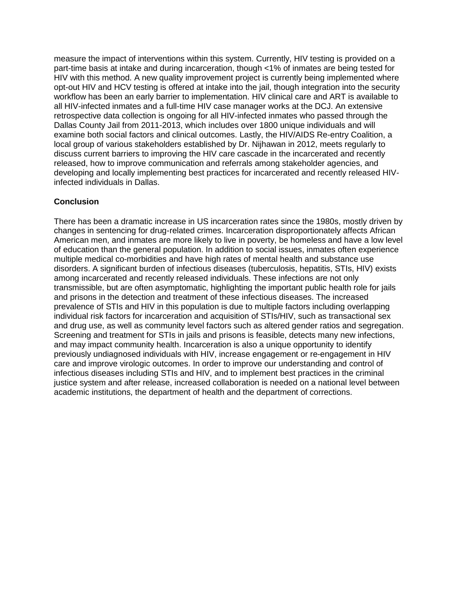measure the impact of interventions within this system. Currently, HIV testing is provided on a part-time basis at intake and during incarceration, though <1% of inmates are being tested for HIV with this method. A new quality improvement project is currently being implemented where opt-out HIV and HCV testing is offered at intake into the jail, though integration into the security workflow has been an early barrier to implementation. HIV clinical care and ART is available to all HIV-infected inmates and a full-time HIV case manager works at the DCJ. An extensive retrospective data collection is ongoing for all HIV-infected inmates who passed through the Dallas County Jail from 2011-2013, which includes over 1800 unique individuals and will examine both social factors and clinical outcomes. Lastly, the HIV/AIDS Re-entry Coalition, a local group of various stakeholders established by Dr. Nijhawan in 2012, meets regularly to discuss current barriers to improving the HIV care cascade in the incarcerated and recently released, how to improve communication and referrals among stakeholder agencies, and developing and locally implementing best practices for incarcerated and recently released HIVinfected individuals in Dallas.

## **Conclusion**

There has been a dramatic increase in US incarceration rates since the 1980s, mostly driven by changes in sentencing for drug-related crimes. Incarceration disproportionately affects African American men, and inmates are more likely to live in poverty, be homeless and have a low level of education than the general population. In addition to social issues, inmates often experience multiple medical co-morbidities and have high rates of mental health and substance use disorders. A significant burden of infectious diseases (tuberculosis, hepatitis, STIs, HIV) exists among incarcerated and recently released individuals. These infections are not only transmissible, but are often asymptomatic, highlighting the important public health role for jails and prisons in the detection and treatment of these infectious diseases. The increased prevalence of STIs and HIV in this population is due to multiple factors including overlapping individual risk factors for incarceration and acquisition of STIs/HIV, such as transactional sex and drug use, as well as community level factors such as altered gender ratios and segregation. Screening and treatment for STIs in jails and prisons is feasible, detects many new infections, and may impact community health. Incarceration is also a unique opportunity to identify previously undiagnosed individuals with HIV, increase engagement or re-engagement in HIV care and improve virologic outcomes. In order to improve our understanding and control of infectious diseases including STIs and HIV, and to implement best practices in the criminal justice system and after release, increased collaboration is needed on a national level between academic institutions, the department of health and the department of corrections.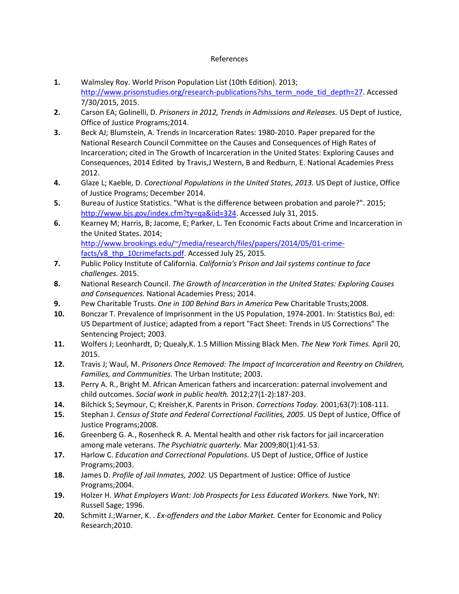#### References

- <span id="page-13-0"></span>**1.** Walmsley Roy. World Prison Population List (10th Edition). 2013; [http://www.prisonstudies.org/research-publications?shs\\_term\\_node\\_tid\\_depth=27.](http://www.prisonstudies.org/research-publications?shs_term_node_tid_depth=27) Accessed 7/30/2015, 2015.
- <span id="page-13-1"></span>**2.** Carson EA; Golinelli, D. *Prisoners in 2012, Trends in Admissions and Releases.* US Dept of Justice, Office of Justice Programs;2014.
- <span id="page-13-2"></span>**3.** Beck AJ; Blumstein, A. Trends in Incarceration Rates: 1980-2010. Paper prepared for the National Research Council Committee on the Causes and Consequences of High Rates of Incarceration; cited in The Growth of Incarceration in the United States: Exploring Causes and Consequences, 2014 Edited by Travis,J Western, B and Redburn, E. National Academies Press 2012.
- <span id="page-13-3"></span>**4.** Glaze L; Kaeble, D. *Corectional Populations in the United States, 2013.* US Dept of Justice, Office of Justice Programs; December 2014.
- <span id="page-13-4"></span>**5.** Bureau of Justice Statistics. "What is the difference between probation and parole?". 2015; [http://www.bjs.gov/index.cfm?ty=qa&iid=324.](http://www.bjs.gov/index.cfm?ty=qa&iid=324) Accessed July 31, 2015.
- <span id="page-13-5"></span>**6.** Kearney M; Harris, B; Jacome, E; Parker, L. Ten Economic Facts about Crime and Incarceration in the United States. 2014; [http://www.brookings.edu/~/media/research/files/papers/2014/05/01-crime](http://www.brookings.edu/~/media/research/files/papers/2014/05/01-crime-facts/v8_thp_10crimefacts.pdf)[facts/v8\\_thp\\_10crimefacts.pdf.](http://www.brookings.edu/~/media/research/files/papers/2014/05/01-crime-facts/v8_thp_10crimefacts.pdf) Accessed July 25, 2015.
- <span id="page-13-6"></span>**7.** Public Policy Institute of California. *California's Prison and Jail systems continue to face challenges.* 2015.
- <span id="page-13-7"></span>**8.** National Research Council. *The Growth of Incarceration in the United States: Exploring Causes and Consequences.* National Academies Press; 2014.
- <span id="page-13-8"></span>**9.** Pew Charitable Trusts. *One in 100 Behind Bars in America* Pew Charitable Trusts;2008.
- <span id="page-13-9"></span>**10.** Bonczar T. Prevalence of Imprisonment in the US Population, 1974-2001. In: Statistics BoJ, ed: US Department of Justice; adapted from a report "Fact Sheet: Trends in US Corrections" The Sentencing Project; 2003.
- <span id="page-13-10"></span>**11.** Wolfers J; Leonhardt, D; Quealy,K. 1.5 Million Missing Black Men. *The New York Times.* April 20, 2015.
- <span id="page-13-11"></span>**12.** Travis J; Waul, M. *Prisoners Once Removed: The Impact of Incarceration and Reentry on Children, Families, and Communities.* The Urban Institute; 2003.
- <span id="page-13-12"></span>**13.** Perry A. R., Bright M. African American fathers and incarceration: paternal involvement and child outcomes. *Social work in public health.* 2012;27(1-2):187-203.
- <span id="page-13-13"></span>**14.** Bilchick S; Seymour, C; Kreisher,K. Parents in Prison. *Corrections Today.* 2001;63(7):108-111.
- <span id="page-13-14"></span>**15.** Stephan J. *Census of State and Federal Correctional Facilities, 2005.* US Dept of Justice, Office of Justice Programs;2008.
- <span id="page-13-15"></span>**16.** Greenberg G. A., Rosenheck R. A. Mental health and other risk factors for jail incarceration among male veterans. *The Psychiatric quarterly.* Mar 2009;80(1):41-53.
- <span id="page-13-16"></span>**17.** Harlow C. *Education and Correctional Populations.* US Dept of Justice, Office of Justice Programs;2003.
- <span id="page-13-17"></span>**18.** James D. *Profile of Jail Inmates, 2002.* US Department of Justice: Office of Justice Programs;2004.
- <span id="page-13-18"></span>**19.** Holzer H. *What Employers Want: Job Prospects for Less Educated Workers.* Nwe York, NY: Russell Sage; 1996.
- <span id="page-13-19"></span>**20.** Schmitt J.;Warner, K. . *Ex-offenders and the Labor Market.* Center for Economic and Policy Research;2010.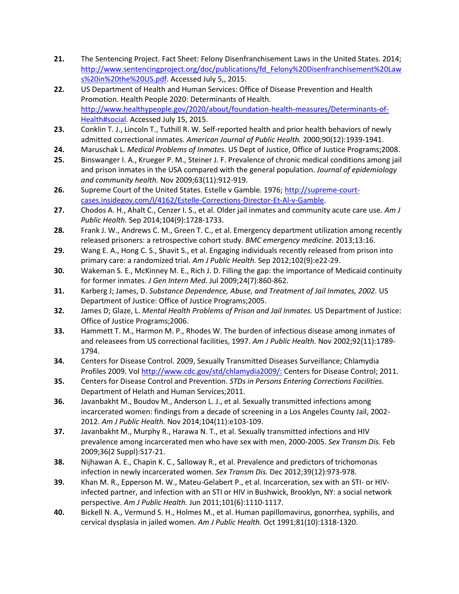- <span id="page-14-0"></span>**21.** The Sentencing Project. Fact Sheet: Felony Disenfranchisement Laws in the United States. 2014; [http://www.sentencingproject.org/doc/publications/fd\\_Felony%20Disenfranchisement%20Law](http://www.sentencingproject.org/doc/publications/fd_Felony%20Disenfranchisement%20Laws%20in%20the%20US.pdf) [s%20in%20the%20US.pdf.](http://www.sentencingproject.org/doc/publications/fd_Felony%20Disenfranchisement%20Laws%20in%20the%20US.pdf) Accessed July 5,, 2015.
- <span id="page-14-1"></span>**22.** US Department of Health and Human Services: Office of Disease Prevention and Health Promotion. Health People 2020: Determinants of Health. [http://www.healthypeople.gov/2020/about/foundation-health-measures/Determinants-of-](http://www.healthypeople.gov/2020/about/foundation-health-measures/Determinants-of-Health#social)[Health#social.](http://www.healthypeople.gov/2020/about/foundation-health-measures/Determinants-of-Health#social) Accessed July 15, 2015.
- <span id="page-14-2"></span>**23.** Conklin T. J., Lincoln T., Tuthill R. W. Self-reported health and prior health behaviors of newly admitted correctional inmates. *American Journal of Public Health.* 2000;90(12):1939-1941.
- <span id="page-14-3"></span>**24.** Maruschak L. *Medical Problems of Inmates.* US Dept of Justice, Office of Justice Programs;2008.
- <span id="page-14-4"></span>**25.** Binswanger I. A., Krueger P. M., Steiner J. F. Prevalence of chronic medical conditions among jail and prison inmates in the USA compared with the general population. *Journal of epidemiology and community health.* Nov 2009;63(11):912-919.
- <span id="page-14-5"></span>**26.** Supreme Court of the United States. Estelle v Gamble. 1976; [http://supreme-court](http://supreme-court-cases.insidegov.com/l/4162/Estelle-Corrections-Director-Et-Al-v-Gamble)[cases.insidegov.com/l/4162/Estelle-Corrections-Director-Et-Al-v-Gamble.](http://supreme-court-cases.insidegov.com/l/4162/Estelle-Corrections-Director-Et-Al-v-Gamble)
- <span id="page-14-6"></span>**27.** Chodos A. H., Ahalt C., Cenzer I. S., et al. Older jail inmates and community acute care use. *Am J Public Health.* Sep 2014;104(9):1728-1733.
- <span id="page-14-7"></span>**28.** Frank J. W., Andrews C. M., Green T. C., et al. Emergency department utilization among recently released prisoners: a retrospective cohort study. *BMC emergency medicine.* 2013;13:16.
- <span id="page-14-8"></span>**29.** Wang E. A., Hong C. S., Shavit S., et al. Engaging individuals recently released from prison into primary care: a randomized trial. *Am J Public Health.* Sep 2012;102(9):e22-29.
- <span id="page-14-9"></span>**30.** Wakeman S. E., McKinney M. E., Rich J. D. Filling the gap: the importance of Medicaid continuity for former inmates. *J Gen Intern Med.* Jul 2009;24(7):860-862.
- <span id="page-14-10"></span>**31.** Karberg J; James, D. *Substance Dependence, Abuse, and Treatment of Jail Inmates, 2002.* US Department of Justice: Office of Justice Programs;2005.
- <span id="page-14-11"></span>**32.** James D; Glaze, L. *Mental Health Problems of Prison and Jail Inmates.* US Department of Justice: Office of Justice Programs;2006.
- <span id="page-14-12"></span>**33.** Hammett T. M., Harmon M. P., Rhodes W. The burden of infectious disease among inmates of and releasees from US correctional facilities, 1997. *Am J Public Health.* Nov 2002;92(11):1789- 1794.
- <span id="page-14-13"></span>**34.** Centers for Disease Control. 2009, Sexually Transmitted Diseases Surveillance; Chlamydia Profiles 2009. Vo[l http://www.cdc.gov/std/chlamydia2009/:](http://www.cdc.gov/std/chlamydia2009/:) Centers for Disease Control; 2011.
- <span id="page-14-14"></span>**35.** Centers for Disease Control and Prevention. *STDs in Persons Entering Corrections Facilities.* Department of Helath and Human Services;2011.
- <span id="page-14-15"></span>**36.** Javanbakht M., Boudov M., Anderson L. J., et al. Sexually transmitted infections among incarcerated women: findings from a decade of screening in a Los Angeles County Jail, 2002- 2012. *Am J Public Health.* Nov 2014;104(11):e103-109.
- <span id="page-14-16"></span>**37.** Javanbakht M., Murphy R., Harawa N. T., et al. Sexually transmitted infections and HIV prevalence among incarcerated men who have sex with men, 2000-2005. *Sex Transm Dis.* Feb 2009;36(2 Suppl):S17-21.
- <span id="page-14-17"></span>**38.** Nijhawan A. E., Chapin K. C., Salloway R., et al. Prevalence and predictors of trichomonas infection in newly incarcerated women. *Sex Transm Dis.* Dec 2012;39(12):973-978.
- <span id="page-14-18"></span>**39.** Khan M. R., Epperson M. W., Mateu-Gelabert P., et al. Incarceration, sex with an STI- or HIVinfected partner, and infection with an STI or HIV in Bushwick, Brooklyn, NY: a social network perspective. *Am J Public Health.* Jun 2011;101(6):1110-1117.
- <span id="page-14-19"></span>**40.** Bickell N. A., Vermund S. H., Holmes M., et al. Human papillomavirus, gonorrhea, syphilis, and cervical dysplasia in jailed women. *Am J Public Health.* Oct 1991;81(10):1318-1320.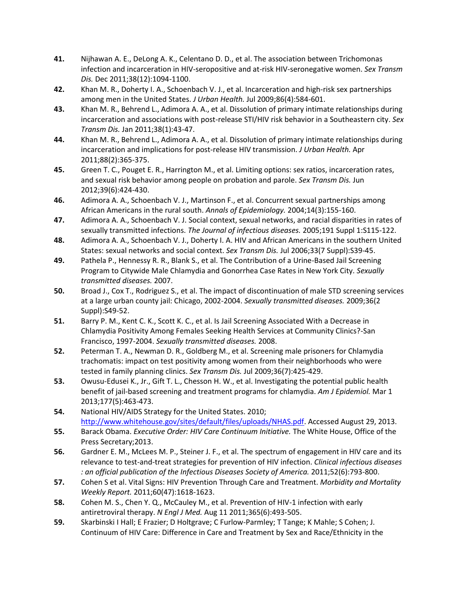- <span id="page-15-0"></span>**41.** Nijhawan A. E., DeLong A. K., Celentano D. D., et al. The association between Trichomonas infection and incarceration in HIV-seropositive and at-risk HIV-seronegative women. *Sex Transm Dis.* Dec 2011;38(12):1094-1100.
- <span id="page-15-1"></span>**42.** Khan M. R., Doherty I. A., Schoenbach V. J., et al. Incarceration and high-risk sex partnerships among men in the United States. *J Urban Health.* Jul 2009;86(4):584-601.
- <span id="page-15-2"></span>**43.** Khan M. R., Behrend L., Adimora A. A., et al. Dissolution of primary intimate relationships during incarceration and associations with post-release STI/HIV risk behavior in a Southeastern city. *Sex Transm Dis.* Jan 2011;38(1):43-47.
- <span id="page-15-3"></span>**44.** Khan M. R., Behrend L., Adimora A. A., et al. Dissolution of primary intimate relationships during incarceration and implications for post-release HIV transmission. *J Urban Health.* Apr 2011;88(2):365-375.
- <span id="page-15-4"></span>**45.** Green T. C., Pouget E. R., Harrington M., et al. Limiting options: sex ratios, incarceration rates, and sexual risk behavior among people on probation and parole. *Sex Transm Dis.* Jun 2012;39(6):424-430.
- <span id="page-15-5"></span>**46.** Adimora A. A., Schoenbach V. J., Martinson F., et al. Concurrent sexual partnerships among African Americans in the rural south. *Annals of Epidemiology.* 2004;14(3):155-160.
- <span id="page-15-6"></span>**47.** Adimora A. A., Schoenbach V. J. Social context, sexual networks, and racial disparities in rates of sexually transmitted infections. *The Journal of infectious diseases.* 2005;191 Suppl 1:S115-122.
- <span id="page-15-7"></span>**48.** Adimora A. A., Schoenbach V. J., Doherty I. A. HIV and African Americans in the southern United States: sexual networks and social context. *Sex Transm Dis.* Jul 2006;33(7 Suppl):S39-45.
- <span id="page-15-8"></span>**49.** Pathela P., Hennessy R. R., Blank S., et al. The Contribution of a Urine-Based Jail Screening Program to Citywide Male Chlamydia and Gonorrhea Case Rates in New York City. *Sexually transmitted diseases.* 2007.
- <span id="page-15-9"></span>**50.** Broad J., Cox T., Rodriguez S., et al. The impact of discontinuation of male STD screening services at a large urban county jail: Chicago, 2002-2004. *Sexually transmitted diseases.* 2009;36(2 Suppl):S49-52.
- <span id="page-15-10"></span>**51.** Barry P. M., Kent C. K., Scott K. C., et al. Is Jail Screening Associated With a Decrease in Chlamydia Positivity Among Females Seeking Health Services at Community Clinics?-San Francisco, 1997-2004. *Sexually transmitted diseases.* 2008.
- <span id="page-15-11"></span>**52.** Peterman T. A., Newman D. R., Goldberg M., et al. Screening male prisoners for Chlamydia trachomatis: impact on test positivity among women from their neighborhoods who were tested in family planning clinics. *Sex Transm Dis.* Jul 2009;36(7):425-429.
- <span id="page-15-12"></span>**53.** Owusu-Edusei K., Jr., Gift T. L., Chesson H. W., et al. Investigating the potential public health benefit of jail-based screening and treatment programs for chlamydia. *Am J Epidemiol.* Mar 1 2013;177(5):463-473.
- <span id="page-15-13"></span>**54.** National HIV/AIDS Strategy for the United States. 2010; [http://www.whitehouse.gov/sites/default/files/uploads/NHAS.pdf.](http://www.whitehouse.gov/sites/default/files/uploads/NHAS.pdf) Accessed August 29, 2013.
- <span id="page-15-14"></span>**55.** Barack Obama. *Executive Order: HIV Care Continuum Initiative.* The White House, Office of the Press Secretary;2013.
- <span id="page-15-15"></span>**56.** Gardner E. M., McLees M. P., Steiner J. F., et al. The spectrum of engagement in HIV care and its relevance to test-and-treat strategies for prevention of HIV infection. *Clinical infectious diseases : an official publication of the Infectious Diseases Society of America.* 2011;52(6):793-800.
- <span id="page-15-16"></span>**57.** Cohen S et al. Vital Signs: HIV Prevention Through Care and Treatment. *Morbidity and Mortality Weekly Report.* 2011;60(47):1618-1623.
- <span id="page-15-17"></span>**58.** Cohen M. S., Chen Y. Q., McCauley M., et al. Prevention of HIV-1 infection with early antiretroviral therapy. *N Engl J Med.* Aug 11 2011;365(6):493-505.
- <span id="page-15-18"></span>**59.** Skarbinski I Hall; E Frazier; D Holtgrave; C Furlow-Parmley; T Tange; K Mahle; S Cohen; J. Continuum of HIV Care: Difference in Care and Treatment by Sex and Race/Ethnicity in the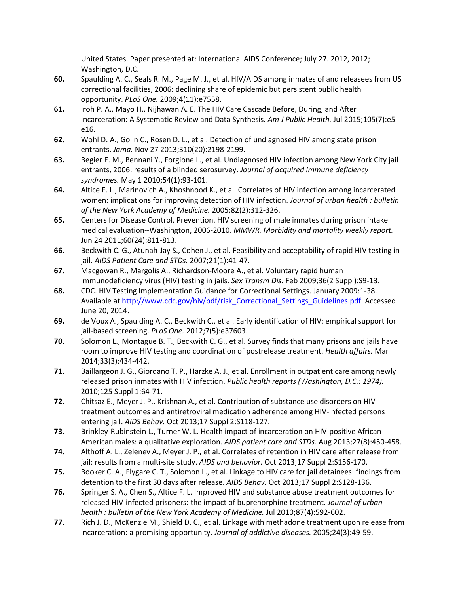United States. Paper presented at: International AIDS Conference; July 27. 2012, 2012; Washington, D.C.

- <span id="page-16-0"></span>**60.** Spaulding A. C., Seals R. M., Page M. J., et al. HIV/AIDS among inmates of and releasees from US correctional facilities, 2006: declining share of epidemic but persistent public health opportunity. *PLoS One.* 2009;4(11):e7558.
- <span id="page-16-1"></span>**61.** Iroh P. A., Mayo H., Nijhawan A. E. The HIV Care Cascade Before, During, and After Incarceration: A Systematic Review and Data Synthesis. *Am J Public Health.* Jul 2015;105(7):e5 e16.
- <span id="page-16-2"></span>**62.** Wohl D. A., Golin C., Rosen D. L., et al. Detection of undiagnosed HIV among state prison entrants. *Jama.* Nov 27 2013;310(20):2198-2199.
- **63.** Begier E. M., Bennani Y., Forgione L., et al. Undiagnosed HIV infection among New York City jail entrants, 2006: results of a blinded serosurvey. *Journal of acquired immune deficiency syndromes.* May 1 2010;54(1):93-101.
- **64.** Altice F. L., Marinovich A., Khoshnood K., et al. Correlates of HIV infection among incarcerated women: implications for improving detection of HIV infection. *Journal of urban health : bulletin of the New York Academy of Medicine.* 2005;82(2):312-326.
- <span id="page-16-3"></span>**65.** Centers for Disease Control, Prevention. HIV screening of male inmates during prison intake medical evaluation--Washington, 2006-2010. *MMWR. Morbidity and mortality weekly report.*  Jun 24 2011;60(24):811-813.
- <span id="page-16-4"></span>**66.** Beckwith C. G., Atunah-Jay S., Cohen J., et al. Feasibility and acceptability of rapid HIV testing in jail. *AIDS Patient Care and STDs.* 2007;21(1):41-47.
- <span id="page-16-5"></span>**67.** Macgowan R., Margolis A., Richardson-Moore A., et al. Voluntary rapid human immunodeficiency virus (HIV) testing in jails. *Sex Transm Dis.* Feb 2009;36(2 Suppl):S9-13.
- <span id="page-16-6"></span>**68.** CDC. HIV Testing Implementation Guidance for Correctional Settings. January 2009:1-38. Available a[t http://www.cdc.gov/hiv/pdf/risk\\_Correctional\\_Settings\\_Guidelines.pdf.](http://www.cdc.gov/hiv/pdf/risk_Correctional_Settings_Guidelines.pdf) Accessed June 20, 2014.
- <span id="page-16-7"></span>**69.** de Voux A., Spaulding A. C., Beckwith C., et al. Early identification of HIV: empirical support for jail-based screening. *PLoS One.* 2012;7(5):e37603.
- <span id="page-16-8"></span>**70.** Solomon L., Montague B. T., Beckwith C. G., et al. Survey finds that many prisons and jails have room to improve HIV testing and coordination of postrelease treatment. *Health affairs.* Mar 2014;33(3):434-442.
- <span id="page-16-9"></span>**71.** Baillargeon J. G., Giordano T. P., Harzke A. J., et al. Enrollment in outpatient care among newly released prison inmates with HIV infection. *Public health reports (Washington, D.C.: 1974).*  2010;125 Suppl 1:64-71.
- <span id="page-16-10"></span>**72.** Chitsaz E., Meyer J. P., Krishnan A., et al. Contribution of substance use disorders on HIV treatment outcomes and antiretroviral medication adherence among HIV-infected persons entering jail. *AIDS Behav.* Oct 2013;17 Suppl 2:S118-127.
- <span id="page-16-11"></span>**73.** Brinkley-Rubinstein L., Turner W. L. Health impact of incarceration on HIV-positive African American males: a qualitative exploration. *AIDS patient care and STDs.* Aug 2013;27(8):450-458.
- <span id="page-16-12"></span>**74.** Althoff A. L., Zelenev A., Meyer J. P., et al. Correlates of retention in HIV care after release from jail: results from a multi-site study. *AIDS and behavior.* Oct 2013;17 Suppl 2:S156-170.
- <span id="page-16-13"></span>**75.** Booker C. A., Flygare C. T., Solomon L., et al. Linkage to HIV care for jail detainees: findings from detention to the first 30 days after release. *AIDS Behav.* Oct 2013;17 Suppl 2:S128-136.
- <span id="page-16-14"></span>**76.** Springer S. A., Chen S., Altice F. L. Improved HIV and substance abuse treatment outcomes for released HIV-infected prisoners: the impact of buprenorphine treatment. *Journal of urban health : bulletin of the New York Academy of Medicine.* Jul 2010;87(4):592-602.
- <span id="page-16-15"></span>**77.** Rich J. D., McKenzie M., Shield D. C., et al. Linkage with methadone treatment upon release from incarceration: a promising opportunity. *Journal of addictive diseases.* 2005;24(3):49-59.